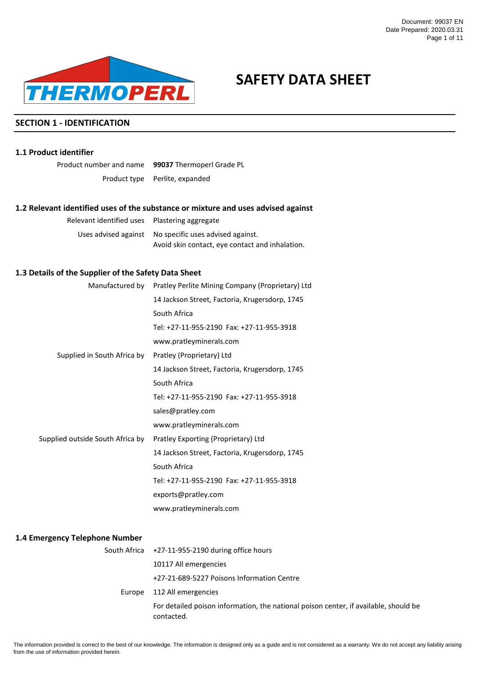

# **SAFETY DATA SHEET**

# **SECTION 1 - IDENTIFICATION**

# **1.1 Product identifier**

Product number and name **99037** Thermoperl Grade PL Product type Perlite, expanded

# **1.2 Relevant identified uses of the substance or mixture and uses advised against**

| Relevant identified uses Plastering aggregate |                                                        |
|-----------------------------------------------|--------------------------------------------------------|
|                                               | Uses advised against No specific uses advised against. |
|                                               | Avoid skin contact, eye contact and inhalation.        |

# **1.3 Details of the Supplier of the Safety Data Sheet**

|                                  | Manufactured by Pratley Perlite Mining Company (Proprietary) Ltd |  |  |
|----------------------------------|------------------------------------------------------------------|--|--|
|                                  | 14 Jackson Street, Factoria, Krugersdorp, 1745                   |  |  |
|                                  | South Africa                                                     |  |  |
|                                  | Tel: +27-11-955-2190    Fax: +27-11-955-3918                     |  |  |
|                                  | www.pratleyminerals.com                                          |  |  |
| Supplied in South Africa by      | Pratley (Proprietary) Ltd                                        |  |  |
|                                  | 14 Jackson Street, Factoria, Krugersdorp, 1745                   |  |  |
|                                  | South Africa                                                     |  |  |
|                                  | Tel: +27-11-955-2190    Fax: +27-11-955-3918                     |  |  |
|                                  | sales@pratley.com                                                |  |  |
|                                  | www.pratleyminerals.com                                          |  |  |
| Supplied outside South Africa by | Pratley Exporting (Proprietary) Ltd                              |  |  |
|                                  | 14 Jackson Street, Factoria, Krugersdorp, 1745                   |  |  |
|                                  | South Africa                                                     |  |  |
|                                  | Tel: +27-11-955-2190 Fax: +27-11-955-3918                        |  |  |
|                                  | exports@pratley.com                                              |  |  |
|                                  | www.pratleyminerals.com                                          |  |  |
|                                  |                                                                  |  |  |
| margancy Talanhona Numhar        |                                                                  |  |  |

# **1.4 Emergency Telephone Number**

| South Africa +27-11-955-2190 during office hours                                                   |
|----------------------------------------------------------------------------------------------------|
| 10117 All emergencies                                                                              |
| +27-21-689-5227 Poisons Information Centre                                                         |
| Europe 112 All emergencies                                                                         |
| For detailed poison information, the national poison center, if available, should be<br>contacted. |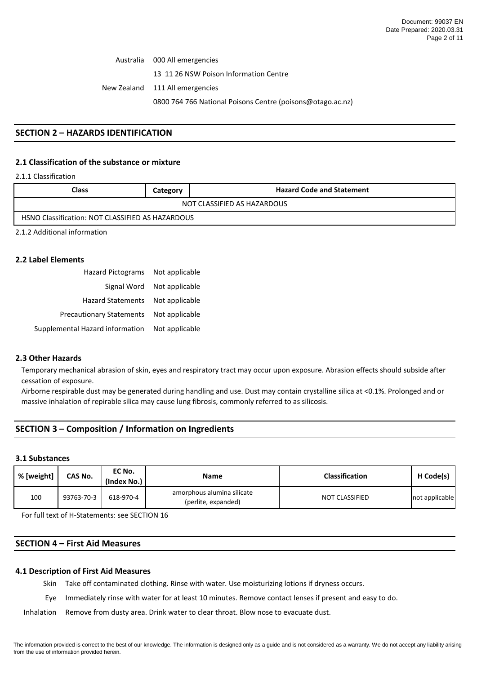Australia New Zealand 000 All emergencies 13 11 26 NSW Poison Information Centre 111 All emergencies 0800 764 766 National Poisons Centre (poisons@otago.ac.nz)

# **SECTION 2 – HAZARDS IDENTIFICATION**

# **2.1 Classification of the substance or mixture**

2.1.1 Classification

| Class<br><b>Hazard Code and Statement</b><br>Category   |  |  |  |  |  |
|---------------------------------------------------------|--|--|--|--|--|
| NOT CLASSIFIED AS HAZARDOUS                             |  |  |  |  |  |
| <b>HSNO Classification: NOT CLASSIFIED AS HAZARDOUS</b> |  |  |  |  |  |

2.1.2 Additional information

### **2.2 Label Elements**

| <b>Hazard Pictograms</b>        | Not applicable |
|---------------------------------|----------------|
| Signal Word                     | Not applicable |
| <b>Hazard Statements</b>        | Not applicable |
| <b>Precautionary Statements</b> | Not applicable |
| Supplemental Hazard information | Not applicable |

### **2.3 Other Hazards**

Temporary mechanical abrasion of skin, eyes and respiratory tract may occur upon exposure. Abrasion effects should subside after cessation of exposure.

Airborne respirable dust may be generated during handling and use. Dust may contain crystalline silica at <0.1%. Prolonged and or massive inhalation of repirable silica may cause lung fibrosis, commonly referred to as silicosis.

# **SECTION 3 – Composition / Information on Ingredients**

#### **3.1 Substances**

| % [weight] | CAS No.    | EC No.<br>(Index No.) | <b>Name</b>                                       | <b>Classification</b> | H Code(s)      |
|------------|------------|-----------------------|---------------------------------------------------|-----------------------|----------------|
| 100        | 93763-70-3 | 618-970-4             | amorphous alumina silicate<br>(perlite, expanded) | NOT CLASSIFIED        | not applicable |

For full text of H-Statements: see SECTION 16

# **SECTION 4 – First Aid Measures**

#### **4.1 Description of First Aid Measures**

Skin Take off contaminated clothing. Rinse with water. Use moisturizing lotions if dryness occurs.

Eye Immediately rinse with water for at least 10 minutes. Remove contact lenses if present and easy to do.

Inhalation Remove from dusty area. Drink water to clear throat. Blow nose to evacuate dust.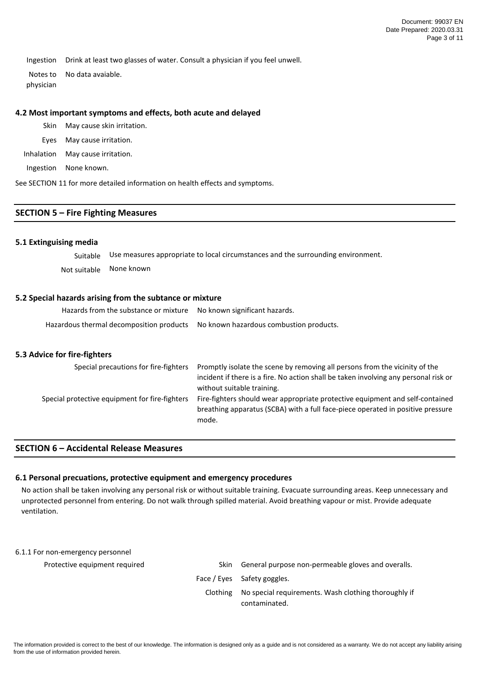Ingestion Drink at least two glasses of water. Consult a physician if you feel unwell.

Notes to physician No data avaiable.

### **4.2 Most important symptoms and effects, both acute and delayed**

- Skin May cause skin irritation.
- Eyes May cause irritation.

Inhalation May cause irritation.

Ingestion None known.

See SECTION 11 for more detailed information on health effects and symptoms.

### **SECTION 5 – Fire Fighting Measures**

### **5.1 Extinguising media**

Suitable Use measures appropriate to local circumstances and the surrounding environment. Not suitable None known

# **5.2 Special hazards arising from the subtance or mixture**

| Hazards from the substance or mixture No known significant hazards. |                                         |
|---------------------------------------------------------------------|-----------------------------------------|
| Hazardous thermal decomposition products                            | No known hazardous combustion products. |

# **5.3 Advice for fire-fighters**

| Special precautions for fire-fighters          | Promptly isolate the scene by removing all persons from the vicinity of the<br>incident if there is a fire. No action shall be taken involving any personal risk or<br>without suitable training. |
|------------------------------------------------|---------------------------------------------------------------------------------------------------------------------------------------------------------------------------------------------------|
| Special protective equipment for fire-fighters | Fire-fighters should wear appropriate protective equipment and self-contained<br>breathing apparatus (SCBA) with a full face-piece operated in positive pressure<br>mode.                         |

# **SECTION 6 – Accidental Release Measures**

#### **6.1 Personal precuations, protective equipment and emergency procedures**

No action shall be taken involving any personal risk or without suitable training. Evacuate surrounding areas. Keep unnecessary and unprotected personnel from entering. Do not walk through spilled material. Avoid breathing vapour or mist. Provide adequate ventilation.

#### 6.1.1 For non-emergency personnel

| Protective equipment required | Skin.    | General purpose non-permeable gloves and overalls.   |
|-------------------------------|----------|------------------------------------------------------|
|                               |          | Face / Eyes Safety goggles.                          |
|                               | Clothing | No special requirements. Wash clothing thoroughly if |
|                               |          | contaminated.                                        |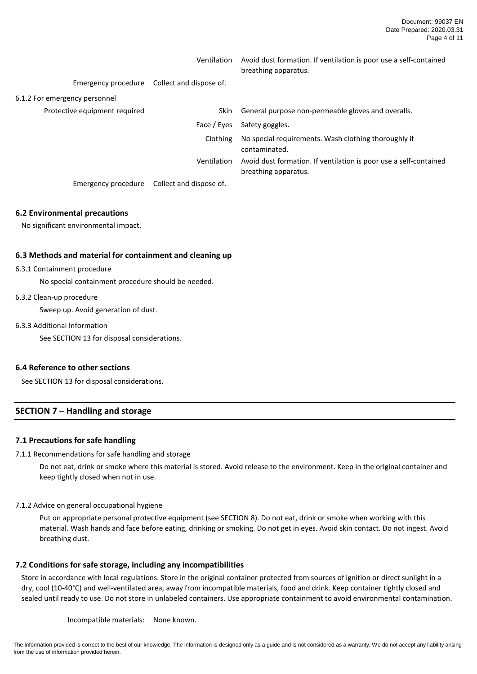|                               | Ventilation             | Avoid dust formation. If ventilation is poor use a self-contained<br>breathing apparatus. |
|-------------------------------|-------------------------|-------------------------------------------------------------------------------------------|
| Emergency procedure           | Collect and dispose of. |                                                                                           |
| 6.1.2 For emergency personnel |                         |                                                                                           |
| Protective equipment required | Skin.                   | General purpose non-permeable gloves and overalls.                                        |
|                               | Face / Eyes             | Safety goggles.                                                                           |
|                               | Clothing                | No special requirements. Wash clothing thoroughly if<br>contaminated.                     |
|                               | Ventilation             | Avoid dust formation. If ventilation is poor use a self-contained<br>breathing apparatus. |
| Emergency procedure           | Collect and dispose of. |                                                                                           |

### **6.2 Environmental precautions**

No significant environmental impact.

# **6.3 Methods and material for containment and cleaning up**

#### 6.3.1 Containment procedure

No special containment procedure should be needed.

#### 6.3.2 Clean-up procedure

Sweep up. Avoid generation of dust.

#### 6.3.3 Additional Information

See SECTION 13 for disposal considerations.

# **6.4 Reference to other sections**

See SECTION 13 for disposal considerations.

### **SECTION 7 – Handling and storage**

### **7.1 Precautions for safe handling**

7.1.1 Recommendations for safe handling and storage

Do not eat, drink or smoke where this material is stored. Avoid release to the environment. Keep in the original container and keep tightly closed when not in use.

7.1.2 Advice on general occupational hygiene

Put on appropriate personal protective equipment (see SECTION 8). Do not eat, drink or smoke when working with this material. Wash hands and face before eating, drinking or smoking. Do not get in eyes. Avoid skin contact. Do not ingest. Avoid breathing dust.

### **7.2 Conditions for safe storage, including any incompatibilities**

Store in accordance with local regulations. Store in the original container protected from sources of ignition or direct sunlight in a dry, cool (10-40°C) and well-ventilated area, away from incompatible materials, food and drink. Keep container tightly closed and sealed until ready to use. Do not store in unlabeled containers. Use appropriate containment to avoid environmental contamination.

Incompatible materials: None known.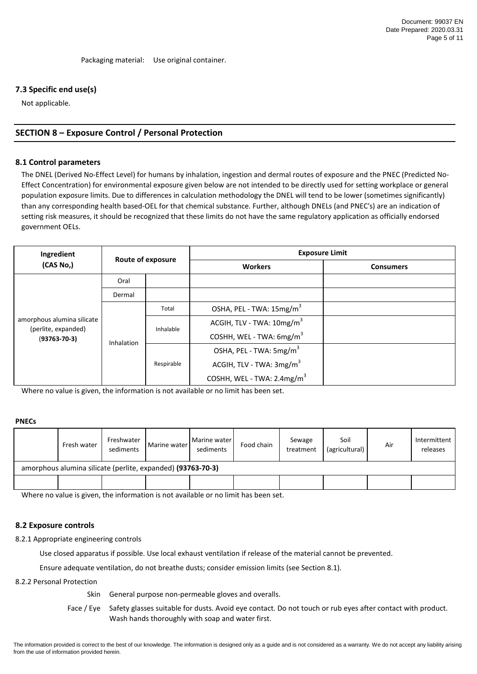# **7.3 Specific end use(s)**

Not applicable.

# **SECTION 8 – Exposure Control / Personal Protection**

#### **8.1 Control parameters**

The DNEL (Derived No-Effect Level) for humans by inhalation, ingestion and dermal routes of exposure and the PNEC (Predicted No-Effect Concentration) for environmental exposure given below are not intended to be directly used for setting workplace or general population exposure limits. Due to differences in calculation methodology the DNEL will tend to be lower (sometimes significantly) than any corresponding health based-OEL for that chemical substance. Further, although DNELs (and PNEC's) are an indication of setting risk measures, it should be recognized that these limits do not have the same regulatory application as officially endorsed government OELs.

| Ingredient                                                              | Route of exposure |            | <b>Exposure Limit</b>                  |                  |  |  |
|-------------------------------------------------------------------------|-------------------|------------|----------------------------------------|------------------|--|--|
| (CAS No,)                                                               |                   |            | <b>Workers</b>                         | <b>Consumers</b> |  |  |
|                                                                         | Oral              |            |                                        |                  |  |  |
| amorphous alumina silicate<br>(perlite, expanded)<br>$(93763 - 70 - 3)$ | Dermal            |            |                                        |                  |  |  |
|                                                                         | Inhalation        | Total      | OSHA, PEL - TWA: 15mg/m <sup>3</sup>   |                  |  |  |
|                                                                         |                   | Inhalable  | ACGIH, TLV - TWA: 10mg/m <sup>3</sup>  |                  |  |  |
|                                                                         |                   |            | COSHH, WEL - TWA: 6mg/m <sup>3</sup>   |                  |  |  |
|                                                                         |                   | Respirable | OSHA, PEL - TWA: 5mg/m <sup>3</sup>    |                  |  |  |
|                                                                         |                   |            | ACGIH, TLV - TWA: 3mg/m <sup>3</sup>   |                  |  |  |
|                                                                         |                   |            | COSHH, WEL - TWA: 2.4mg/m <sup>3</sup> |                  |  |  |

Where no value is given, the information is not available or no limit has been set.

# **PNECs**

|                                                             | Fresh water | Freshwater<br>sediments | Marine water | Marine water<br>sediments | Food chain | Sewage<br>treatment | Soil<br>(agricultural) | Air | Intermittent<br>releases |
|-------------------------------------------------------------|-------------|-------------------------|--------------|---------------------------|------------|---------------------|------------------------|-----|--------------------------|
| amorphous alumina silicate (perlite, expanded) (93763-70-3) |             |                         |              |                           |            |                     |                        |     |                          |
|                                                             |             |                         |              |                           |            |                     |                        |     |                          |

Where no value is given, the information is not available or no limit has been set.

#### **8.2 Exposure controls**

8.2.1 Appropriate engineering controls

Use closed apparatus if possible. Use local exhaust ventilation if release of the material cannot be prevented.

Ensure adequate ventilation, do not breathe dusts; consider emission limits (see Section 8.1).

#### 8.2.2 Personal Protection

Skin General purpose non-permeable gloves and overalls.

Face / Eye Safety glasses suitable for dusts. Avoid eye contact. Do not touch or rub eyes after contact with product. Wash hands thoroughly with soap and water first.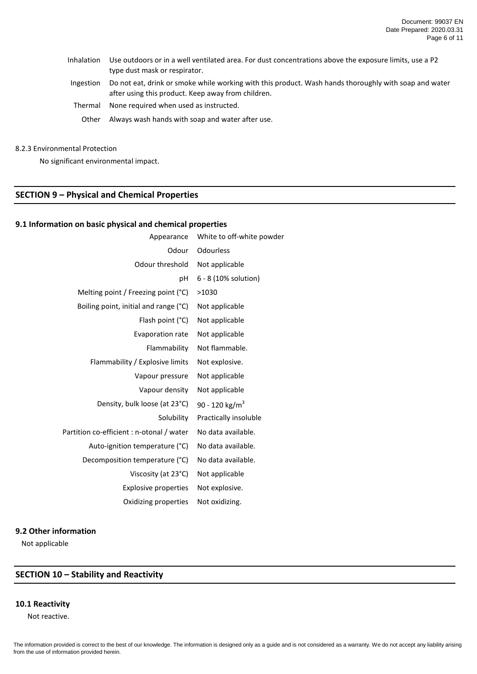- Inhalation Use outdoors or in a well ventilated area. For dust concentrations above the exposure limits, use a P2 type dust mask or respirator.
- Ingestion Do not eat, drink or smoke while working with this product. Wash hands thoroughly with soap and water after using this product. Keep away from children.
- Thermal None required when used as instructed.
	- Other Always wash hands with soap and water after use.

#### 8.2.3 Environmental Protection

No significant environmental impact.

# **SECTION 9 – Physical and Chemical Properties**

# **9.1 Information on basic physical and chemical properties**

| Appearance                                | White to off-white powder  |
|-------------------------------------------|----------------------------|
| Odour                                     | Odourless                  |
| Odour threshold                           | Not applicable             |
| рH                                        | 6 - 8 (10% solution)       |
| Melting point / Freezing point (°C)       | >1030                      |
| Boiling point, initial and range (°C)     | Not applicable             |
| Flash point (°C)                          | Not applicable             |
| <b>Evaporation rate</b>                   | Not applicable             |
| Flammability                              | Not flammable.             |
| Flammability / Explosive limits           | Not explosive.             |
| Vapour pressure                           | Not applicable             |
| Vapour density                            | Not applicable             |
| Density, bulk loose (at 23°C)             | 90 - 120 kg/m <sup>3</sup> |
| Solubility                                | Practically insoluble      |
| Partition co-efficient : n-otonal / water | No data available.         |
| Auto-ignition temperature (°C)            | No data available.         |
| Decomposition temperature (°C)            | No data available.         |
| Viscosity (at 23°C)                       | Not applicable             |
| <b>Explosive properties</b>               | Not explosive.             |
| Oxidizing properties                      | Not oxidizing.             |

## **9.2 Other information**

Not applicable

# **SECTION 10 – Stability and Reactivity**

### **10.1 Reactivity**

Not reactive.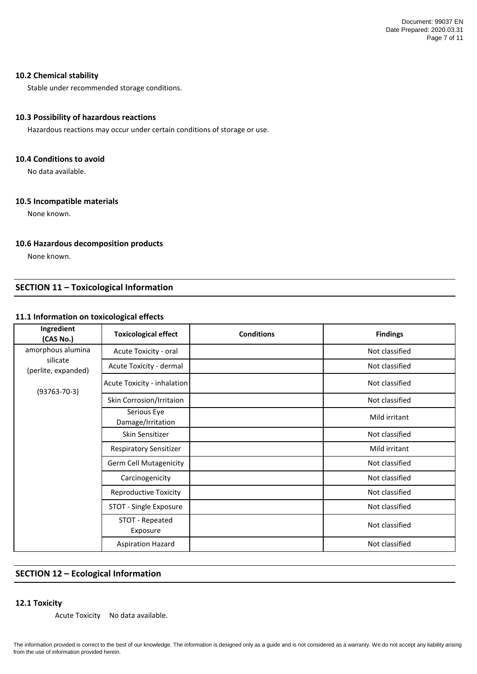# **10.2 Chemical stability**

Stable under recommended storage conditions.

# **10.3 Possibility of hazardous reactions**

Hazardous reactions may occur under certain conditions of storage or use.

### **10.4 Conditions to avoid**

No data available.

# **10.5 Incompatible materials**

None known.

# **10.6 Hazardous decomposition products**

None known.

# **SECTION 11 – Toxicological Information**

# **11.1 Information on toxicological effects**

| Ingredient<br>(CAS No.)                                                    | <b>Toxicological effect</b>      | <b>Conditions</b> | <b>Findings</b> |
|----------------------------------------------------------------------------|----------------------------------|-------------------|-----------------|
| amorphous alumina<br>silicate<br>(perlite, expanded)<br>$(93763 - 70 - 3)$ | Acute Toxicity - oral            |                   | Not classified  |
|                                                                            | Acute Toxicity - dermal          |                   | Not classified  |
|                                                                            | Acute Toxicity - inhalation      |                   | Not classified  |
|                                                                            | Skin Corrosion/Irritaion         |                   | Not classified  |
|                                                                            | Serious Eye<br>Damage/Irritation |                   | Mild irritant   |
|                                                                            | Skin Sensitizer                  |                   | Not classified  |
|                                                                            | <b>Respiratory Sensitizer</b>    |                   | Mild irritant   |
|                                                                            | Germ Cell Mutagenicity           |                   | Not classified  |
|                                                                            | Carcinogenicity                  |                   | Not classified  |
|                                                                            | <b>Reproductive Toxicity</b>     |                   | Not classified  |
|                                                                            | STOT - Single Exposure           |                   | Not classified  |
|                                                                            | STOT - Repeated<br>Exposure      |                   | Not classified  |
|                                                                            | <b>Aspiration Hazard</b>         |                   | Not classified  |

# **SECTION 12 – Ecological Information**

### **12.1 Toxicity**

Acute Toxicity No data available.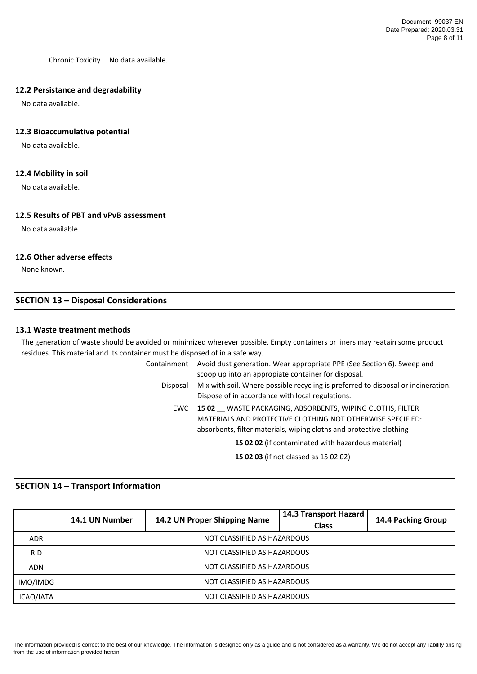Chronic Toxicity No data available.

# **12.2 Persistance and degradability**

No data available.

# **12.3 Bioaccumulative potential**

No data available.

# **12.4 Mobility in soil**

No data available.

# **12.5 Results of PBT and vPvB assessment**

No data available.

# **12.6 Other adverse effects**

None known.

# **SECTION 13 – Disposal Considerations**

# **13.1 Waste treatment methods**

The generation of waste should be avoided or minimized wherever possible. Empty containers or liners may reatain some product residues. This material and its container must be disposed of in a safe way.

Containment Avoid dust generation. Wear appropriate PPE (See Section 6). Sweep and scoop up into an appropiate container for disposal. Disposal Mix with soil. Where possible recycling is preferred to disposal or incineration. Dispose of in accordance with local regulations. EWC **15 02 \_\_** WASTE PACKAGING, ABSORBENTS, WIPING CLOTHS, FILTER MATERIALS AND PROTECTIVE CLOTHING NOT OTHERWISE SPECIFIED:

absorbents, filter materials, wiping cloths and protective clothing

**15 02 02** (if contaminated with hazardous material)

**15 02 03** (if not classed as 15 02 02)

# **SECTION 14 – Transport Information**

|            | 14.1 UN Number              | 14.2 UN Proper Shipping Name | 14.3 Transport Hazard<br><b>Class</b> | 14.4 Packing Group |
|------------|-----------------------------|------------------------------|---------------------------------------|--------------------|
| <b>ADR</b> | NOT CLASSIFIED AS HAZARDOUS |                              |                                       |                    |
| <b>RID</b> | NOT CLASSIFIED AS HAZARDOUS |                              |                                       |                    |
| <b>ADN</b> | NOT CLASSIFIED AS HAZARDOUS |                              |                                       |                    |
| IMO/IMDG   | NOT CLASSIFIED AS HAZARDOUS |                              |                                       |                    |
| ICAO/IATA  | NOT CLASSIFIED AS HAZARDOUS |                              |                                       |                    |

The information provided is correct to the best of our knowledge. The information is designed only as a guide and is not considered as a warranty. We do not accept any liability arising from the use of information provided herein.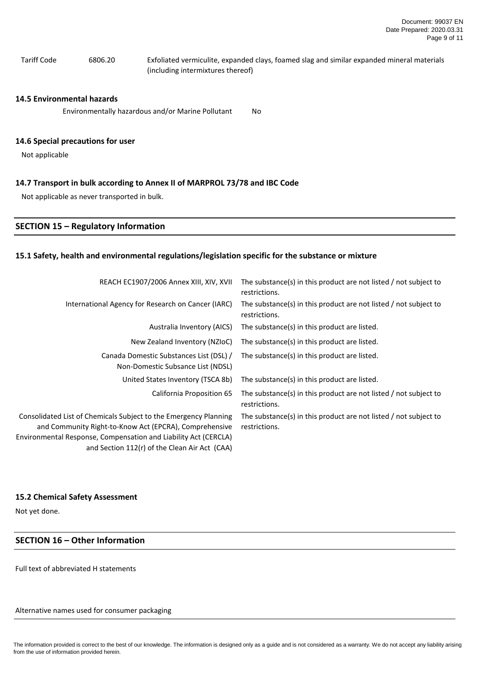Tariff Code 6806.20 Exfoliated vermiculite, expanded clays, foamed slag and similar expanded mineral materials (including intermixtures thereof)

#### **14.5 Environmental hazards**

No Environmentally hazardous and/or Marine Pollutant

#### **14.6 Special precautions for user**

Not applicable

### **14.7 Transport in bulk according to Annex II of MARPROL 73/78 and IBC Code**

Not applicable as never transported in bulk.

#### **SECTION 15 – Regulatory Information**

#### **15.1 Safety, health and environmental regulations/legislation specific for the substance or mixture**

| REACH EC1907/2006 Annex XIII, XIV, XVII                                                                                                                                                                                                        | The substance(s) in this product are not listed / not subject to<br>restrictions. |
|------------------------------------------------------------------------------------------------------------------------------------------------------------------------------------------------------------------------------------------------|-----------------------------------------------------------------------------------|
| International Agency for Research on Cancer (IARC)                                                                                                                                                                                             | The substance(s) in this product are not listed / not subject to<br>restrictions. |
| Australia Inventory (AICS)                                                                                                                                                                                                                     | The substance(s) in this product are listed.                                      |
| New Zealand Inventory (NZIoC)                                                                                                                                                                                                                  | The substance(s) in this product are listed.                                      |
| Canada Domestic Substances List (DSL) /<br>Non-Domestic Subsance List (NDSL)                                                                                                                                                                   | The substance(s) in this product are listed.                                      |
| United States Inventory (TSCA 8b)                                                                                                                                                                                                              | The substance(s) in this product are listed.                                      |
| California Proposition 65                                                                                                                                                                                                                      | The substance(s) in this product are not listed / not subject to<br>restrictions. |
| Consolidated List of Chemicals Subject to the Emergency Planning<br>and Community Right-to-Know Act (EPCRA), Comprehensive<br>Environmental Response, Compensation and Liability Act (CERCLA)<br>and Section 112(r) of the Clean Air Act (CAA) | The substance(s) in this product are not listed / not subject to<br>restrictions. |

## **15.2 Chemical Safety Assessment**

Not yet done.

# **SECTION 16 – Other Information**

Full text of abbreviated H statements

Alternative names used for consumer packaging

The information provided is correct to the best of our knowledge. The information is designed only as a guide and is not considered as a warranty. We do not accept any liability arising from the use of information provided herein.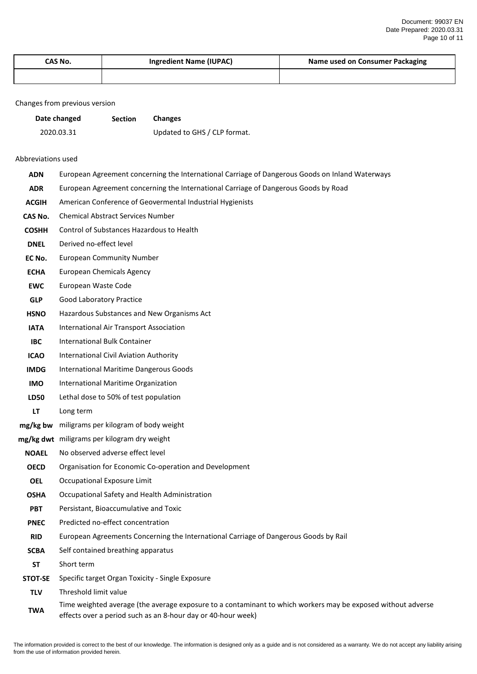| CAS No. | <b>Ingredient Name (IUPAC)</b> | Name used on Consumer Packaging |
|---------|--------------------------------|---------------------------------|
|         |                                |                                 |

## Changes from previous version

| Date changed | <b>Section</b> | <b>Changes</b>               |
|--------------|----------------|------------------------------|
| 2020.03.31   |                | Updated to GHS / CLP format. |

## Abbreviations used

| <b>ADN</b>     | European Agreement concerning the International Carriage of Dangerous Goods on Inland Waterways                                                                              |
|----------------|------------------------------------------------------------------------------------------------------------------------------------------------------------------------------|
| <b>ADR</b>     | European Agreement concerning the International Carriage of Dangerous Goods by Road                                                                                          |
| <b>ACGIH</b>   | American Conference of Geovermental Industrial Hygienists                                                                                                                    |
| CAS No.        | <b>Chemical Abstract Services Number</b>                                                                                                                                     |
| <b>COSHH</b>   | Control of Substances Hazardous to Health                                                                                                                                    |
| <b>DNEL</b>    | Derived no-effect level                                                                                                                                                      |
| EC No.         | <b>European Community Number</b>                                                                                                                                             |
| <b>ECHA</b>    | <b>European Chemicals Agency</b>                                                                                                                                             |
| <b>EWC</b>     | European Waste Code                                                                                                                                                          |
| <b>GLP</b>     | <b>Good Laboratory Practice</b>                                                                                                                                              |
| <b>HSNO</b>    | Hazardous Substances and New Organisms Act                                                                                                                                   |
| <b>IATA</b>    | International Air Transport Association                                                                                                                                      |
| <b>IBC</b>     | <b>International Bulk Container</b>                                                                                                                                          |
| <b>ICAO</b>    | <b>International Civil Aviation Authority</b>                                                                                                                                |
| <b>IMDG</b>    | <b>International Maritime Dangerous Goods</b>                                                                                                                                |
| <b>IMO</b>     | International Maritime Organization                                                                                                                                          |
| <b>LD50</b>    | Lethal dose to 50% of test population                                                                                                                                        |
| LT             | Long term                                                                                                                                                                    |
|                | mg/kg bw miligrams per kilogram of body weight                                                                                                                               |
|                | mg/kg dwt miligrams per kilogram dry weight                                                                                                                                  |
| <b>NOAEL</b>   | No observed adverse effect level                                                                                                                                             |
| <b>OECD</b>    | Organisation for Economic Co-operation and Development                                                                                                                       |
| <b>OEL</b>     | Occupational Exposure Limit                                                                                                                                                  |
| <b>OSHA</b>    | Occupational Safety and Health Administration                                                                                                                                |
| <b>PBT</b>     | Persistant, Bioaccumulative and Toxic                                                                                                                                        |
| <b>PNEC</b>    | Predicted no-effect concentration                                                                                                                                            |
| <b>RID</b>     | European Agreements Concerning the International Carriage of Dangerous Goods by Rail                                                                                         |
| <b>SCBA</b>    | Self contained breathing apparatus                                                                                                                                           |
| <b>ST</b>      | Short term                                                                                                                                                                   |
| <b>STOT-SE</b> | Specific target Organ Toxicity - Single Exposure                                                                                                                             |
| <b>TLV</b>     | Threshold limit value                                                                                                                                                        |
| <b>TWA</b>     | Time weighted average (the average exposure to a contaminant to which workers may be exposed without adverse<br>effects over a period such as an 8-hour day or 40-hour week) |